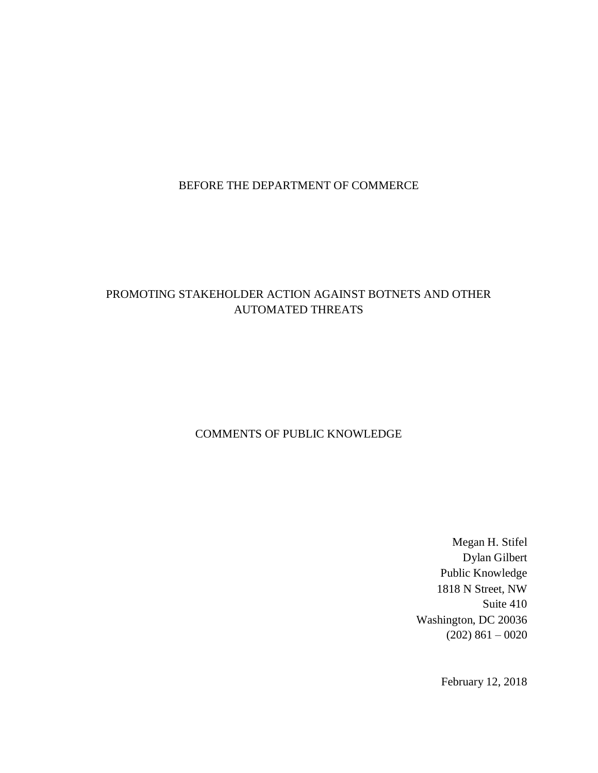# BEFORE THE DEPARTMENT OF COMMERCE

## PROMOTING STAKEHOLDER ACTION AGAINST BOTNETS AND OTHER AUTOMATED THREATS

## COMMENTS OF PUBLIC KNOWLEDGE

Megan H. Stifel Dylan Gilbert Public Knowledge 1818 N Street, NW Suite 410 Washington, DC 20036  $(202)$  861 – 0020

February 12, 2018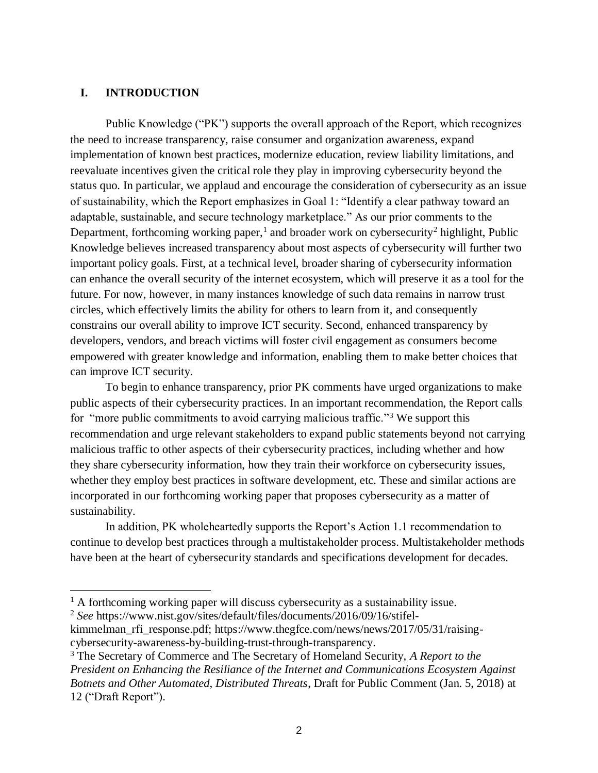#### **I. INTRODUCTION**

Public Knowledge ("PK") supports the overall approach of the Report, which recognizes the need to increase transparency, raise consumer and organization awareness, expand implementation of known best practices, modernize education, review liability limitations, and reevaluate incentives given the critical role they play in improving cybersecurity beyond the status quo. In particular, we applaud and encourage the consideration of cybersecurity as an issue of sustainability, which the Report emphasizes in Goal 1: "Identify a clear pathway toward an adaptable, sustainable, and secure technology marketplace." As our prior comments to the Department, forthcoming working paper,<sup>1</sup> and broader work on cybersecurity<sup>2</sup> highlight, Public Knowledge believes increased transparency about most aspects of cybersecurity will further two important policy goals. First, at a technical level, broader sharing of cybersecurity information can enhance the overall security of the internet ecosystem, which will preserve it as a tool for the future. For now, however, in many instances knowledge of such data remains in narrow trust circles, which effectively limits the ability for others to learn from it, and consequently constrains our overall ability to improve ICT security. Second, enhanced transparency by developers, vendors, and breach victims will foster civil engagement as consumers become empowered with greater knowledge and information, enabling them to make better choices that can improve ICT security.

To begin to enhance transparency, prior PK comments have urged organizations to make public aspects of their cybersecurity practices. In an important recommendation, the Report calls for "more public commitments to avoid carrying malicious traffic."<sup>3</sup> We support this recommendation and urge relevant stakeholders to expand public statements beyond not carrying malicious traffic to other aspects of their cybersecurity practices, including whether and how they share cybersecurity information, how they train their workforce on cybersecurity issues, whether they employ best practices in software development, etc. These and similar actions are incorporated in our forthcoming working paper that proposes cybersecurity as a matter of sustainability.

In addition, PK wholeheartedly supports the Report's Action 1.1 recommendation to continue to develop best practices through a multistakeholder process. Multistakeholder methods have been at the heart of cybersecurity standards and specifications development for decades.

 $<sup>1</sup>$  A forthcoming working paper will discuss cybersecurity as a sustainability issue.</sup>

<sup>2</sup> *See* https://www.nist.gov/sites/default/files/documents/2016/09/16/stifel-

kimmelman\_rfi\_response.pdf; https://www.thegfce.com/news/news/2017/05/31/raisingcybersecurity-awareness-by-building-trust-through-transparency.

<sup>3</sup> The Secretary of Commerce and The Secretary of Homeland Security, *A Report to the President on Enhancing the Resiliance of the Internet and Communications Ecosystem Against Botnets and Other Automated, Distributed Threats*, Draft for Public Comment (Jan. 5, 2018) at 12 ("Draft Report").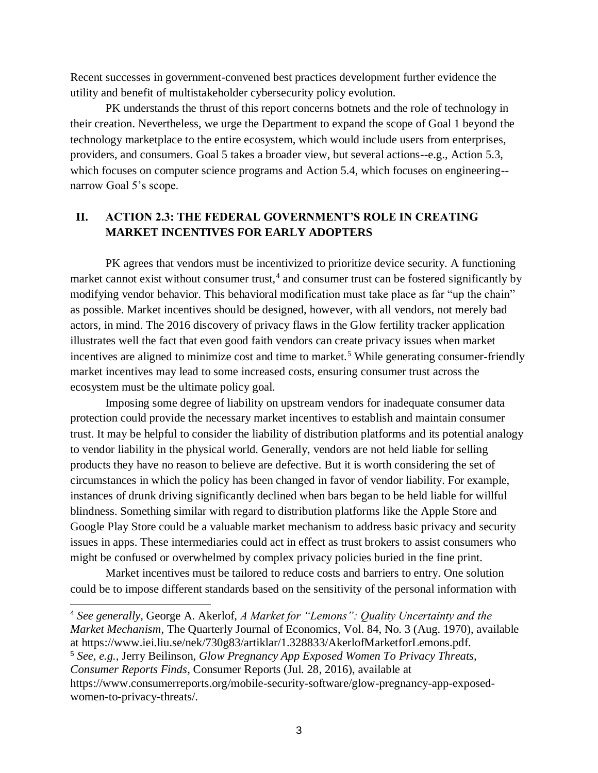Recent successes in government-convened best practices development further evidence the utility and benefit of multistakeholder cybersecurity policy evolution.

PK understands the thrust of this report concerns botnets and the role of technology in their creation. Nevertheless, we urge the Department to expand the scope of Goal 1 beyond the technology marketplace to the entire ecosystem, which would include users from enterprises, providers, and consumers. Goal 5 takes a broader view, but several actions--e.g., Action 5.3, which focuses on computer science programs and Action 5.4, which focuses on engineering-narrow Goal 5's scope.

## **II. ACTION 2.3: THE FEDERAL GOVERNMENT'S ROLE IN CREATING MARKET INCENTIVES FOR EARLY ADOPTERS**

PK agrees that vendors must be incentivized to prioritize device security. A functioning market cannot exist without consumer trust,<sup>4</sup> and consumer trust can be fostered significantly by modifying vendor behavior. This behavioral modification must take place as far "up the chain" as possible. Market incentives should be designed, however, with all vendors, not merely bad actors, in mind. The 2016 discovery of privacy flaws in the Glow fertility tracker application illustrates well the fact that even good faith vendors can create privacy issues when market incentives are aligned to minimize cost and time to market.<sup>5</sup> While generating consumer-friendly market incentives may lead to some increased costs, ensuring consumer trust across the ecosystem must be the ultimate policy goal.

Imposing some degree of liability on upstream vendors for inadequate consumer data protection could provide the necessary market incentives to establish and maintain consumer trust. It may be helpful to consider the liability of distribution platforms and its potential analogy to vendor liability in the physical world. Generally, vendors are not held liable for selling products they have no reason to believe are defective. But it is worth considering the set of circumstances in which the policy has been changed in favor of vendor liability. For example, instances of drunk driving significantly declined when bars began to be held liable for willful blindness. Something similar with regard to distribution platforms like the Apple Store and Google Play Store could be a valuable market mechanism to address basic privacy and security issues in apps. These intermediaries could act in effect as trust brokers to assist consumers who might be confused or overwhelmed by complex privacy policies buried in the fine print.

Market incentives must be tailored to reduce costs and barriers to entry. One solution could be to impose different standards based on the sensitivity of the personal information with

<sup>5</sup> *See, e.g.,* Jerry Beilinson, *Glow Pregnancy App Exposed Women To Privacy Threats,*

<sup>4</sup> *See generally*, George A. Akerlof, *A Market for "Lemons": Quality Uncertainty and the Market Mechanism*, The Quarterly Journal of Economics, Vol. 84, No. 3 (Aug. 1970), available at https://www.iei.liu.se/nek/730g83/artiklar/1.328833/AkerlofMarketforLemons.pdf.

*Consumer Reports Finds*, Consumer Reports (Jul. 28, 2016), available at

https://www.consumerreports.org/mobile-security-software/glow-pregnancy-app-exposedwomen-to-privacy-threats/.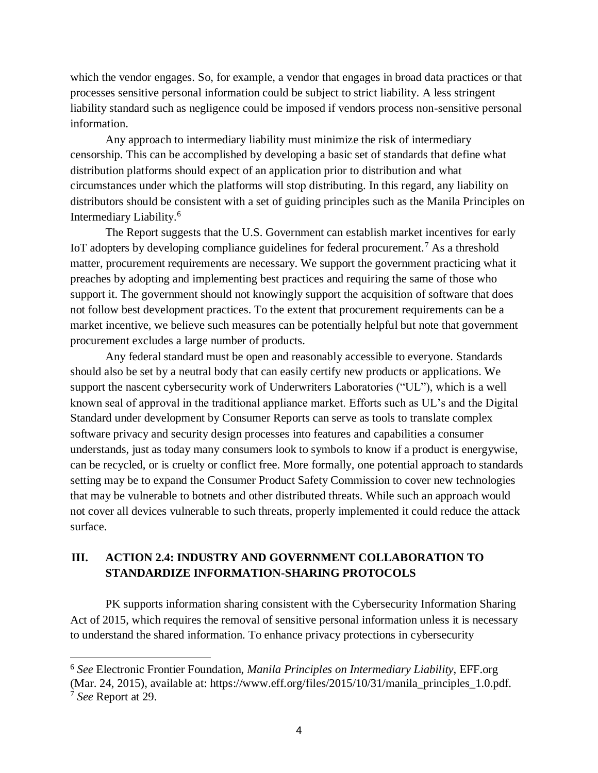which the vendor engages. So, for example, a vendor that engages in broad data practices or that processes sensitive personal information could be subject to strict liability. A less stringent liability standard such as negligence could be imposed if vendors process non-sensitive personal information.

Any approach to intermediary liability must minimize the risk of intermediary censorship. This can be accomplished by developing a basic set of standards that define what distribution platforms should expect of an application prior to distribution and what circumstances under which the platforms will stop distributing. In this regard, any liability on distributors should be consistent with a set of guiding principles such as the Manila Principles on Intermediary Liability.<sup>6</sup>

The Report suggests that the U.S. Government can establish market incentives for early IoT adopters by developing compliance guidelines for federal procurement.<sup>7</sup> As a threshold matter, procurement requirements are necessary. We support the government practicing what it preaches by adopting and implementing best practices and requiring the same of those who support it. The government should not knowingly support the acquisition of software that does not follow best development practices. To the extent that procurement requirements can be a market incentive, we believe such measures can be potentially helpful but note that government procurement excludes a large number of products.

Any federal standard must be open and reasonably accessible to everyone. Standards should also be set by a neutral body that can easily certify new products or applications. We support the nascent cybersecurity work of Underwriters Laboratories ("UL"), which is a well known seal of approval in the traditional appliance market. Efforts such as UL's and the Digital Standard under development by Consumer Reports can serve as tools to translate complex software privacy and security design processes into features and capabilities a consumer understands, just as today many consumers look to symbols to know if a product is energywise, can be recycled, or is cruelty or conflict free. More formally, one potential approach to standards setting may be to expand the Consumer Product Safety Commission to cover new technologies that may be vulnerable to botnets and other distributed threats. While such an approach would not cover all devices vulnerable to such threats, properly implemented it could reduce the attack surface.

## **III. ACTION 2.4: INDUSTRY AND GOVERNMENT COLLABORATION TO STANDARDIZE INFORMATION-SHARING PROTOCOLS**

PK supports information sharing consistent with the Cybersecurity Information Sharing Act of 2015, which requires the removal of sensitive personal information unless it is necessary to understand the shared information. To enhance privacy protections in cybersecurity

<sup>6</sup> *See* Electronic Frontier Foundation, *Manila Principles on Intermediary Liability*, EFF.org (Mar. 24, 2015), available at: https://www.eff.org/files/2015/10/31/manila\_principles\_1.0.pdf. <sup>7</sup> *See* Report at 29.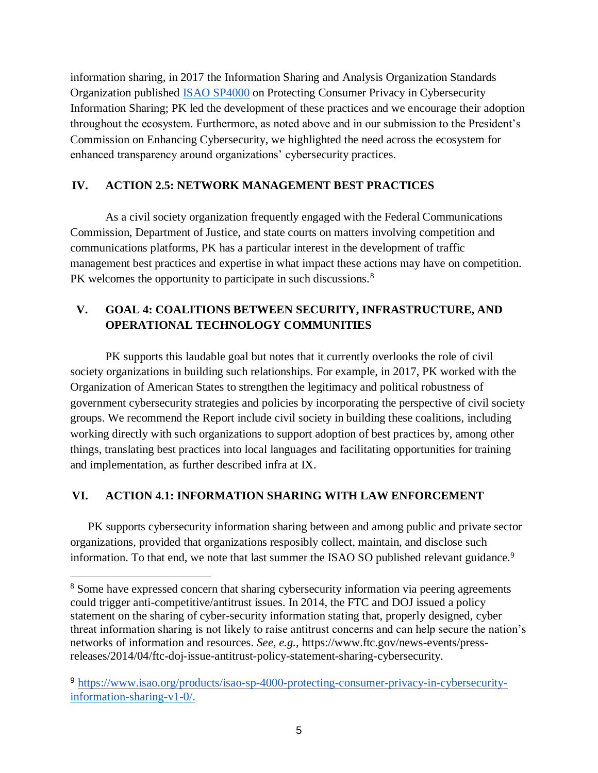information sharing, in 2017 the Information Sharing and Analysis Organization Standards Organization published ISAO SP4000 on Protecting Consumer Privacy in Cybersecurity Information Sharing; PK led the development of these practices and we encourage their adoption throughout the ecosystem. Furthermore, as noted above and in our submission to the President's Commission on Enhancing Cybersecurity, we highlighted the need across the ecosystem for enhanced transparency around organizations' cybersecurity practices.

## **IV. ACTION 2.5: NETWORK MANAGEMENT BEST PRACTICES**

As a civil society organization frequently engaged with the Federal Communications Commission, Department of Justice, and state courts on matters involving competition and communications platforms, PK has a particular interest in the development of traffic management best practices and expertise in what impact these actions may have on competition. PK welcomes the opportunity to participate in such discussions.<sup>8</sup>

# **V. GOAL 4: COALITIONS BETWEEN SECURITY, INFRASTRUCTURE, AND OPERATIONAL TECHNOLOGY COMMUNITIES**

PK supports this laudable goal but notes that it currently overlooks the role of civil society organizations in building such relationships. For example, in 2017, PK worked with the Organization of American States to strengthen the legitimacy and political robustness of government cybersecurity strategies and policies by incorporating the perspective of civil society groups. We recommend the Report include civil society in building these coalitions, including working directly with such organizations to support adoption of best practices by, among other things, translating best practices into local languages and facilitating opportunities for training and implementation, as further described infra at IX.

## **VI. ACTION 4.1: INFORMATION SHARING WITH LAW ENFORCEMENT**

PK supports cybersecurity information sharing between and among public and private sector organizations, provided that organizations resposibly collect, maintain, and disclose such information. To that end, we note that last summer the ISAO SO published relevant guidance.<sup>9</sup>

<sup>8</sup> Some have expressed concern that sharing cybersecurity information via peering agreements could trigger anti-competitive/antitrust issues. In 2014, the FTC and DOJ issued a policy statement on the sharing of cyber-security information stating that, properly designed, cyber threat information sharing is not likely to raise antitrust concerns and can help secure the nation's networks of information and resources. *See, e.g.,* https://www.ftc.gov/news-events/pressreleases/2014/04/ftc-doj-issue-antitrust-policy-statement-sharing-cybersecurity.

<sup>9</sup> [https://www.isao.org/products/isao-sp-4000-protecting-consumer-privacy-in-cybersecurity](https://www.isao.org/products/isao-sp-4000-protecting-consumer-privacy-in-cybersecurity-information-sharing-v1-0/)[information-sharing-v1-0/.](https://www.isao.org/products/isao-sp-4000-protecting-consumer-privacy-in-cybersecurity-information-sharing-v1-0/)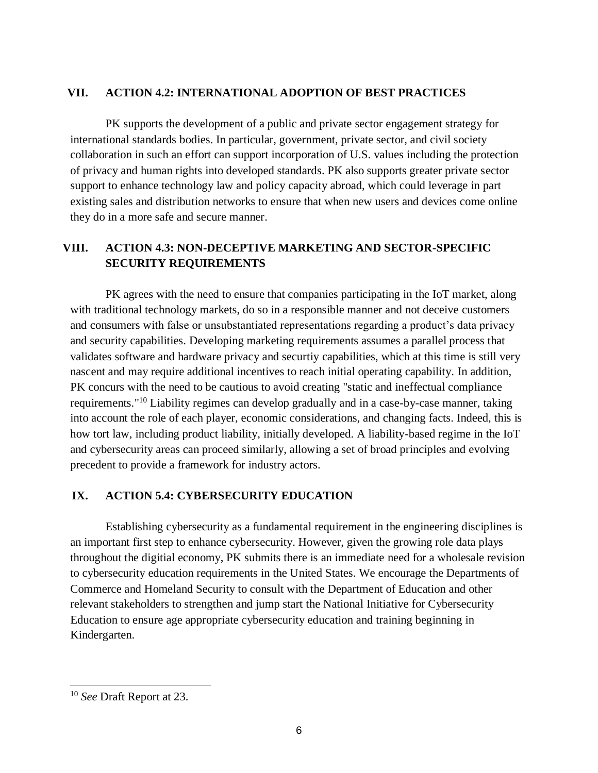#### **VII. ACTION 4.2: INTERNATIONAL ADOPTION OF BEST PRACTICES**

PK supports the development of a public and private sector engagement strategy for international standards bodies. In particular, government, private sector, and civil society collaboration in such an effort can support incorporation of U.S. values including the protection of privacy and human rights into developed standards. PK also supports greater private sector support to enhance technology law and policy capacity abroad, which could leverage in part existing sales and distribution networks to ensure that when new users and devices come online they do in a more safe and secure manner.

# **VIII. ACTION 4.3: NON-DECEPTIVE MARKETING AND SECTOR-SPECIFIC SECURITY REQUIREMENTS**

PK agrees with the need to ensure that companies participating in the IoT market, along with traditional technology markets, do so in a responsible manner and not deceive customers and consumers with false or unsubstantiated representations regarding a product's data privacy and security capabilities. Developing marketing requirements assumes a parallel process that validates software and hardware privacy and securtiy capabilities, which at this time is still very nascent and may require additional incentives to reach initial operating capability. In addition, PK concurs with the need to be cautious to avoid creating "static and ineffectual compliance requirements."<sup>10</sup> Liability regimes can develop gradually and in a case-by-case manner, taking into account the role of each player, economic considerations, and changing facts. Indeed, this is how tort law, including product liability, initially developed. A liability-based regime in the IoT and cybersecurity areas can proceed similarly, allowing a set of broad principles and evolving precedent to provide a framework for industry actors.

## **IX. ACTION 5.4: CYBERSECURITY EDUCATION**

Establishing cybersecurity as a fundamental requirement in the engineering disciplines is an important first step to enhance cybersecurity. However, given the growing role data plays throughout the digitial economy, PK submits there is an immediate need for a wholesale revision to cybersecurity education requirements in the United States. We encourage the Departments of Commerce and Homeland Security to consult with the Department of Education and other relevant stakeholders to strengthen and jump start the National Initiative for Cybersecurity Education to ensure age appropriate cybersecurity education and training beginning in Kindergarten.

<sup>10</sup> *See* Draft Report at 23.